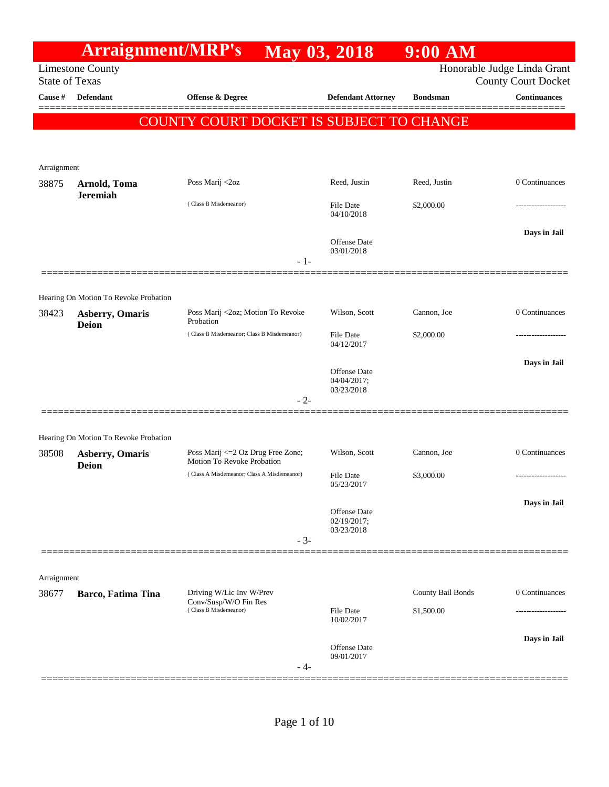|             | <b>Arraignment/MRP's</b>                                        |                                                                  | May 03, 2018                      | 9:00 AM           |                                                   |
|-------------|-----------------------------------------------------------------|------------------------------------------------------------------|-----------------------------------|-------------------|---------------------------------------------------|
|             | <b>Limestone County</b><br><b>State of Texas</b>                |                                                                  |                                   |                   | Honorable Judge Linda Grant                       |
| Cause #     | <b>Defendant</b>                                                | <b>Offense &amp; Degree</b>                                      | <b>Defendant Attorney</b>         | <b>Bondsman</b>   | <b>County Court Docket</b><br><b>Continuances</b> |
|             |                                                                 |                                                                  |                                   |                   |                                                   |
|             |                                                                 | COUNTY COURT DOCKET IS SUBJECT TO CHANGE                         |                                   |                   |                                                   |
|             |                                                                 |                                                                  |                                   |                   |                                                   |
| Arraignment |                                                                 |                                                                  |                                   |                   |                                                   |
| 38875       | Arnold, Toma                                                    | Poss Marij <2oz                                                  | Reed, Justin                      | Reed, Justin      | 0 Continuances                                    |
|             | <b>Jeremiah</b>                                                 | (Class B Misdemeanor)                                            | File Date<br>04/10/2018           | \$2,000.00        | .                                                 |
|             |                                                                 |                                                                  | <b>Offense Date</b><br>03/01/2018 |                   | Days in Jail                                      |
|             |                                                                 | $-1-$                                                            |                                   |                   |                                                   |
|             |                                                                 |                                                                  |                                   |                   |                                                   |
| 38423       | Hearing On Motion To Revoke Probation<br><b>Asberry, Omaris</b> | Poss Marij <2oz; Motion To Revoke                                | Wilson, Scott                     | Cannon, Joe       | 0 Continuances                                    |
|             | <b>Deion</b>                                                    | Probation                                                        |                                   |                   |                                                   |
|             |                                                                 | (Class B Misdemeanor; Class B Misdemeanor)                       | File Date<br>04/12/2017           | \$2,000.00        |                                                   |
|             |                                                                 |                                                                  |                                   |                   | Days in Jail                                      |
|             |                                                                 |                                                                  | Offense Date<br>04/04/2017;       |                   |                                                   |
|             |                                                                 | $-2-$                                                            | 03/23/2018                        |                   |                                                   |
|             |                                                                 |                                                                  |                                   |                   |                                                   |
|             | Hearing On Motion To Revoke Probation                           |                                                                  |                                   |                   |                                                   |
| 38508       | <b>Asberry, Omaris</b><br><b>Deion</b>                          | Poss Marij <= 2 Oz Drug Free Zone;<br>Motion To Revoke Probation | Wilson, Scott                     | Cannon, Joe       | 0 Continuances                                    |
|             |                                                                 | (Class A Misdemeanor; Class A Misdemeanor)                       | File Date                         | \$3,000.00        | -----------------                                 |
|             |                                                                 |                                                                  | 05/23/2017                        |                   |                                                   |
|             |                                                                 |                                                                  | Offense Date<br>02/19/2017;       |                   | Days in Jail                                      |
|             |                                                                 |                                                                  | 03/23/2018                        |                   |                                                   |
|             |                                                                 | $-3-$                                                            |                                   |                   |                                                   |
| Arraignment |                                                                 |                                                                  |                                   |                   |                                                   |
| 38677       | Barco, Fatima Tina                                              | Driving W/Lic Inv W/Prev                                         |                                   | County Bail Bonds | 0 Continuances                                    |
|             |                                                                 | Conv/Susp/W/O Fin Res<br>(Class B Misdemeanor)                   | File Date                         | \$1,500.00        |                                                   |
|             |                                                                 |                                                                  | 10/02/2017                        |                   |                                                   |
|             |                                                                 |                                                                  | Offense Date<br>09/01/2017        |                   | Days in Jail                                      |
|             |                                                                 | - 4-                                                             |                                   |                   |                                                   |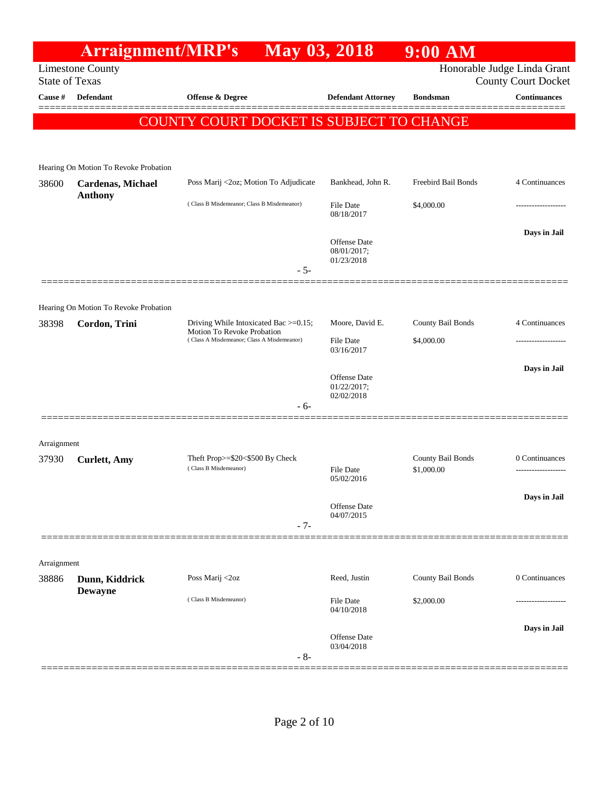## **Arraignment/MRP's May 03, 2018 9:00 AM** Limestone County State of Texas Honorable Judge Linda Grant County Court Docket **Cause # Defendant Offense & Degree Defendant Attorney Bondsman Continuances** ============================================================================================== COUNTY COURT DOCKET IS SUBJECT TO CHANGE Hearing On Motion To Revoke Probation 38600 **Cardenas, Michael Anthony** Poss Marij <2oz; Motion To Adjudicate Bankhead, John R. Freebird Bail Bonds 4 Continuances ( Class B Misdemeanor; Class B Misdemeanor) File Date \$4,000.00 08/18/2017 **Days in Jail**  Offense Date 08/01/2017; 01/23/2018 - 5- ============================================================================================== Hearing On Motion To Revoke Probation 38398 **Cordon, Trini** Driving While Intoxicated Bac >=0.15; Motion To Revoke Probation Moore, David E. County Bail Bonds 4 Continuances ( Class A Misdemeanor; Class A Misdemeanor) File Date \$4,000.00 03/16/2017 **Days in Jail**  Offense Date 01/22/2017; 02/02/2018 - 6- ============================================================================================== Arraignment 37930 **Curlett, Amy** Theft Prop>=\$20<\$500 By Check County Bail Bonds 0 Continuances<br>Class B Misdemeanor) Class B Misdemeanor Class B (Class B Misdemeanor) Class B (Class B Misdemeanor) Class County Bail Bonds 1,000.00 ( Class B Misdemeanor) 05/02/2016 **Days in Jail**  Offense Date 04/07/2015 - 7- ============================================================================================== Arraignment 38886 **Dunn, Kiddrick Dewayne** Poss Marij <2oz Reed, Justin County Bail Bonds 0 Continuances ( Class B Misdemeanor) File Date \$2,000.00 ------------------- 04/10/2018 **Days in Jail**  Offense Date 03/04/2018 - 8- ==============================================================================================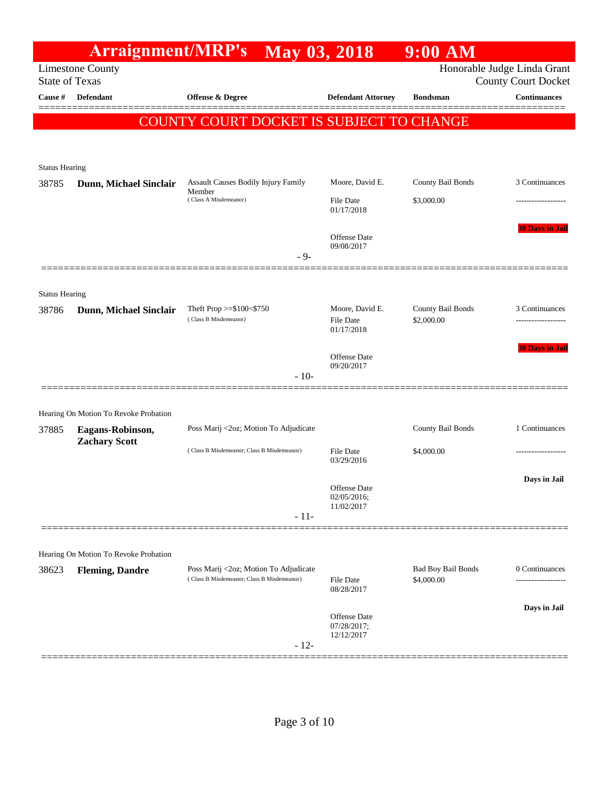|                                |                                          | <b>Arraignment/MRP's May 03, 2018</b>                                               |                                     | $9:00$ AM                       |                                                           |
|--------------------------------|------------------------------------------|-------------------------------------------------------------------------------------|-------------------------------------|---------------------------------|-----------------------------------------------------------|
| <b>State of Texas</b>          | <b>Limestone County</b>                  |                                                                                     |                                     |                                 | Honorable Judge Linda Grant<br><b>County Court Docket</b> |
| Cause #                        | <b>Defendant</b>                         | <b>Offense &amp; Degree</b>                                                         | <b>Defendant Attorney</b>           | <b>Bondsman</b>                 | <b>Continuances</b>                                       |
|                                |                                          | COUNTY COURT DOCKET IS SUBJECT TO CHANGE                                            |                                     |                                 |                                                           |
|                                |                                          |                                                                                     |                                     |                                 |                                                           |
|                                |                                          |                                                                                     |                                     |                                 |                                                           |
| <b>Status Hearing</b>          |                                          |                                                                                     |                                     |                                 |                                                           |
| 38785                          | Dunn, Michael Sinclair                   | Assault Causes Bodily Injury Family<br>Member<br>(Class A Misdemeanor)              | Moore, David E.<br><b>File Date</b> | County Bail Bonds<br>\$3,000.00 | 3 Continuances                                            |
|                                |                                          |                                                                                     | 01/17/2018                          |                                 | .                                                         |
|                                |                                          |                                                                                     | <b>Offense Date</b>                 |                                 | <b>30 Days in Jail</b>                                    |
|                                |                                          |                                                                                     | 09/08/2017                          |                                 |                                                           |
|                                |                                          | $-9-$                                                                               |                                     |                                 |                                                           |
|                                |                                          |                                                                                     |                                     |                                 |                                                           |
| <b>Status Hearing</b><br>38786 | Dunn, Michael Sinclair                   | Theft Prop >= $$100<$750$                                                           | Moore, David E.                     | County Bail Bonds               | 3 Continuances                                            |
|                                |                                          | (Class B Misdemeanor)                                                               | <b>File Date</b><br>01/17/2018      | \$2,000.00                      |                                                           |
|                                |                                          |                                                                                     |                                     |                                 | <b>30 Days in Jail</b>                                    |
|                                |                                          |                                                                                     | <b>Offense Date</b><br>09/20/2017   |                                 |                                                           |
|                                |                                          | $-10-$                                                                              |                                     |                                 |                                                           |
|                                |                                          |                                                                                     |                                     |                                 |                                                           |
|                                | Hearing On Motion To Revoke Probation    |                                                                                     |                                     |                                 |                                                           |
| 37885                          | Eagans-Robinson,<br><b>Zachary Scott</b> | Poss Marij <2oz; Motion To Adjudicate                                               |                                     | County Bail Bonds               | 1 Continuances                                            |
|                                |                                          | (Class B Misdemeanor; Class B Misdemeanor)                                          | <b>File Date</b><br>03/29/2016      | \$4,000.00                      |                                                           |
|                                |                                          |                                                                                     |                                     |                                 | Days in Jail                                              |
|                                |                                          |                                                                                     | Offense Date<br>02/05/2016;         |                                 |                                                           |
|                                |                                          | $-11-$                                                                              | 11/02/2017                          |                                 |                                                           |
|                                |                                          |                                                                                     |                                     |                                 |                                                           |
|                                | Hearing On Motion To Revoke Probation    |                                                                                     |                                     |                                 |                                                           |
| 38623                          | <b>Fleming, Dandre</b>                   | Poss Marij <2oz; Motion To Adjudicate<br>(Class B Misdemeanor; Class B Misdemeanor) |                                     | Bad Boy Bail Bonds              | 0 Continuances                                            |
|                                |                                          |                                                                                     | File Date<br>08/28/2017             | \$4,000.00                      |                                                           |
|                                |                                          |                                                                                     |                                     |                                 | Days in Jail                                              |
|                                |                                          |                                                                                     | Offense Date<br>07/28/2017;         |                                 |                                                           |
|                                |                                          | $-12-$                                                                              | 12/12/2017                          |                                 |                                                           |
|                                |                                          |                                                                                     |                                     |                                 |                                                           |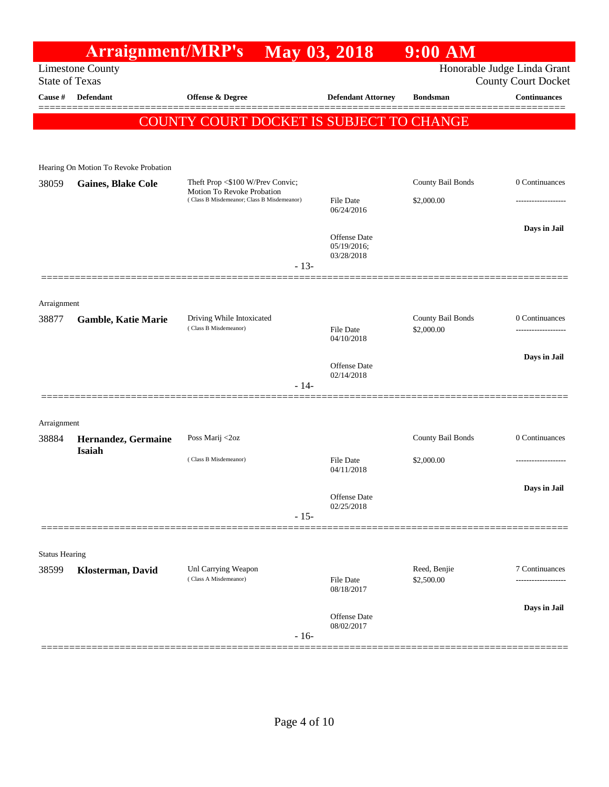## **Arraignment/MRP's May 03, 2018 9:00 AM** Limestone County State of Texas Honorable Judge Linda Grant County Court Docket **Cause # Defendant Offense & Degree Defendant Attorney Bondsman Continuances** ============================================================================================== COUNTY COURT DOCKET IS SUBJECT TO CHANGE Hearing On Motion To Revoke Probation 38059 **Gaines, Blake Cole** Theft Prop <\$100 W/Prev Convic; Motion To Revoke Probation County Bail Bonds 0 Continuances ( Class B Misdemeanor; Class B Misdemeanor) File Date \$2,000.00 06/24/2016 **Days in Jail**  Offense Date 05/19/2016; 03/28/2018 - 13- ============================================================================================== Arraignment 38877 **Gamble, Katie Marie** Driving While Intoxicated County Bail Bonds 0 Continuances ( Class B Misdemeanor) File Date \$2,000.00 ------------------- 04/10/2018 **Days in Jail**  Offense Date 02/14/2018 - 14- ============================================================================================== Arraignment 38884 **Hernandez, Germaine Isaiah** Poss Marij <2oz County Bail Bonds 0 Continuances  $( Class B Misdemeanor)$  File Date  $$2,000.00$ 04/11/2018 **Days in Jail**  Offense Date 02/25/2018 - 15- ============================================================================================== Status Hearing **18599 <b>Klosterman, David** Unl Carrying Weapon Reed, Benjie 7 Continuances (Class A Misdemeanor) Reed, Benjie 7 Continuances (  $\rm Class~A~Misdemeanor)$ 08/18/2017 **Days in Jail**  Offense Date 08/02/2017 - 16- ==============================================================================================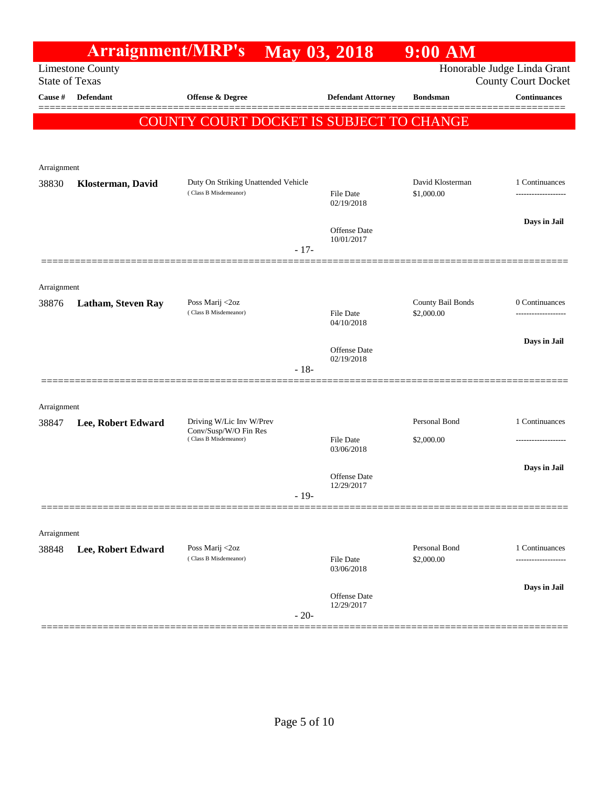|                      | <b>Arraignment/MRP's</b>                         |                                                   |        | May 03, 2018                   | 9:00 AM                         |                                                           |
|----------------------|--------------------------------------------------|---------------------------------------------------|--------|--------------------------------|---------------------------------|-----------------------------------------------------------|
|                      | <b>Limestone County</b><br><b>State of Texas</b> |                                                   |        |                                |                                 | Honorable Judge Linda Grant<br><b>County Court Docket</b> |
| Cause #              | <b>Defendant</b>                                 | <b>Offense &amp; Degree</b>                       |        | <b>Defendant Attorney</b>      | <b>Bondsman</b>                 | <b>Continuances</b>                                       |
|                      |                                                  | COUNTY COURT DOCKET IS SUBJECT TO CHANGE          |        |                                |                                 |                                                           |
|                      |                                                  |                                                   |        |                                |                                 |                                                           |
|                      |                                                  |                                                   |        |                                |                                 |                                                           |
| Arraignment<br>38830 | Klosterman, David                                | Duty On Striking Unattended Vehicle               |        |                                | David Klosterman                | 1 Continuances                                            |
|                      |                                                  | (Class B Misdemeanor)                             |        | File Date<br>02/19/2018        | \$1,000.00                      |                                                           |
|                      |                                                  |                                                   |        | Offense Date                   |                                 | Days in Jail                                              |
|                      |                                                  |                                                   | $-17-$ | 10/01/2017                     |                                 |                                                           |
|                      |                                                  |                                                   |        |                                |                                 |                                                           |
| Arraignment          |                                                  |                                                   |        |                                |                                 |                                                           |
| 38876                | <b>Latham, Steven Ray</b>                        | Poss Marij <2oz<br>(Class B Misdemeanor)          |        | File Date                      | County Bail Bonds<br>\$2,000.00 | 0 Continuances<br>-----------------                       |
|                      |                                                  |                                                   |        | 04/10/2018                     |                                 |                                                           |
|                      |                                                  |                                                   |        | <b>Offense Date</b>            |                                 | Days in Jail                                              |
|                      |                                                  |                                                   | $-18-$ | 02/19/2018                     |                                 |                                                           |
|                      |                                                  |                                                   |        |                                |                                 |                                                           |
| Arraignment          |                                                  |                                                   |        |                                |                                 |                                                           |
| 38847                | Lee, Robert Edward                               | Driving W/Lic Inv W/Prev<br>Conv/Susp/W/O Fin Res |        |                                | Personal Bond                   | 1 Continuances                                            |
|                      |                                                  | (Class B Misdemeanor)                             |        | <b>File Date</b><br>03/06/2018 | \$2,000.00                      |                                                           |
|                      |                                                  |                                                   |        | Offense Date                   |                                 | Days in Jail                                              |
|                      |                                                  |                                                   | $-19-$ | 12/29/2017                     |                                 |                                                           |
|                      |                                                  |                                                   |        |                                |                                 |                                                           |
| Arraignment          |                                                  |                                                   |        |                                |                                 |                                                           |
| 38848                | Lee, Robert Edward                               | Poss Marij <2oz<br>(Class B Misdemeanor)          |        |                                | Personal Bond                   | 1 Continuances                                            |
|                      |                                                  |                                                   |        | File Date<br>03/06/2018        | \$2,000.00                      |                                                           |
|                      |                                                  |                                                   |        | Offense Date                   |                                 | Days in Jail                                              |
|                      |                                                  |                                                   | $-20-$ | 12/29/2017                     |                                 |                                                           |
|                      |                                                  |                                                   |        |                                |                                 |                                                           |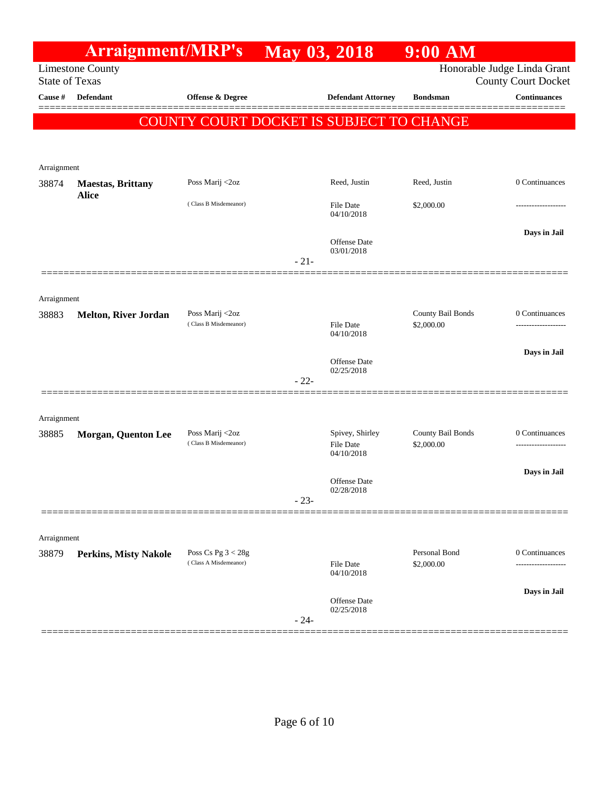|                      | <b>Arraignment/MRP's</b>                         |                                               | May 03, 2018 |                                   | $9:00$ AM         |                                                           |
|----------------------|--------------------------------------------------|-----------------------------------------------|--------------|-----------------------------------|-------------------|-----------------------------------------------------------|
|                      | <b>Limestone County</b><br><b>State of Texas</b> |                                               |              |                                   |                   | Honorable Judge Linda Grant<br><b>County Court Docket</b> |
| Cause #              | <b>Defendant</b>                                 | <b>Offense &amp; Degree</b>                   |              | <b>Defendant Attorney</b>         | <b>Bondsman</b>   | <b>Continuances</b>                                       |
|                      |                                                  | COUNTY COURT DOCKET IS SUBJECT TO CHANGE      |              |                                   |                   |                                                           |
|                      |                                                  |                                               |              |                                   |                   |                                                           |
|                      |                                                  |                                               |              |                                   |                   |                                                           |
| Arraignment          |                                                  |                                               |              |                                   |                   |                                                           |
| 38874                | <b>Maestas, Brittany</b><br><b>Alice</b>         | Poss Marij <2oz                               |              | Reed, Justin                      | Reed, Justin      | 0 Continuances                                            |
|                      |                                                  | (Class B Misdemeanor)                         |              | File Date<br>04/10/2018           | \$2,000.00        |                                                           |
|                      |                                                  |                                               |              |                                   |                   | Days in Jail                                              |
|                      |                                                  |                                               |              | Offense Date<br>03/01/2018        |                   |                                                           |
|                      |                                                  |                                               | $-21-$       |                                   |                   |                                                           |
|                      |                                                  |                                               |              |                                   |                   |                                                           |
| Arraignment<br>38883 | <b>Melton, River Jordan</b>                      | Poss Marij <2oz                               |              |                                   | County Bail Bonds | 0 Continuances                                            |
|                      |                                                  | (Class B Misdemeanor)                         |              | File Date                         | \$2,000.00        |                                                           |
|                      |                                                  |                                               |              | 04/10/2018                        |                   |                                                           |
|                      |                                                  |                                               |              | Offense Date                      |                   | Days in Jail                                              |
|                      |                                                  |                                               | $-22-$       | 02/25/2018                        |                   |                                                           |
|                      |                                                  |                                               |              |                                   |                   |                                                           |
| Arraignment          |                                                  |                                               |              |                                   |                   |                                                           |
| 38885                | <b>Morgan, Quenton Lee</b>                       | Poss Marij <2oz                               |              | Spivey, Shirley                   | County Bail Bonds | 0 Continuances                                            |
|                      |                                                  | (Class B Misdemeanor)                         |              | File Date<br>04/10/2018           | \$2,000.00        |                                                           |
|                      |                                                  |                                               |              |                                   |                   | Days in Jail                                              |
|                      |                                                  |                                               |              | <b>Offense</b> Date<br>02/28/2018 |                   |                                                           |
|                      |                                                  |                                               | $-23-$       |                                   |                   |                                                           |
|                      |                                                  |                                               |              |                                   |                   |                                                           |
| Arraignment          |                                                  |                                               |              |                                   | Personal Bond     |                                                           |
| 38879                | <b>Perkins, Misty Nakole</b>                     | Poss Cs Pg $3 < 28g$<br>(Class A Misdemeanor) |              | File Date<br>04/10/2018           | \$2,000.00        | 0 Continuances                                            |
|                      |                                                  |                                               |              |                                   |                   | Days in Jail                                              |
|                      |                                                  |                                               | $-24-$       | Offense Date<br>02/25/2018        |                   |                                                           |
|                      |                                                  |                                               |              |                                   |                   |                                                           |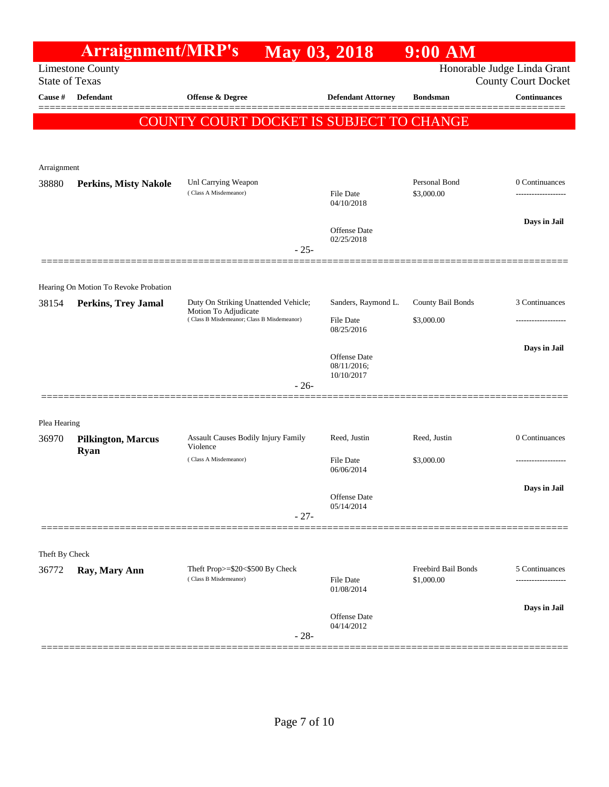|                | <b>Arraignment/MRP's</b>                         |                                                                                                            | <b>May 03, 2018</b>                                   | $9:00$ AM                         |                                                           |
|----------------|--------------------------------------------------|------------------------------------------------------------------------------------------------------------|-------------------------------------------------------|-----------------------------------|-----------------------------------------------------------|
|                | <b>Limestone County</b><br><b>State of Texas</b> |                                                                                                            |                                                       |                                   | Honorable Judge Linda Grant<br><b>County Court Docket</b> |
| Cause #        | <b>Defendant</b>                                 | <b>Offense &amp; Degree</b>                                                                                | <b>Defendant Attorney</b>                             | <b>Bondsman</b>                   | <b>Continuances</b>                                       |
|                |                                                  | <b>COUNTY COURT DOCKET IS SUBJECT TO CHANGE</b>                                                            |                                                       |                                   |                                                           |
| Arraignment    |                                                  |                                                                                                            |                                                       |                                   |                                                           |
| 38880          | <b>Perkins, Misty Nakole</b>                     | Unl Carrying Weapon<br>(Class A Misdemeanor)                                                               | <b>File Date</b><br>04/10/2018                        | Personal Bond<br>\$3,000.00       | 0 Continuances                                            |
|                |                                                  | $-25-$                                                                                                     | Offense Date<br>02/25/2018                            |                                   | Days in Jail                                              |
|                | Hearing On Motion To Revoke Probation            |                                                                                                            |                                                       |                                   |                                                           |
| 38154          | <b>Perkins, Trey Jamal</b>                       | Duty On Striking Unattended Vehicle;<br>Motion To Adjudicate<br>(Class B Misdemeanor; Class B Misdemeanor) | Sanders, Raymond L.<br><b>File Date</b><br>08/25/2016 | County Bail Bonds<br>\$3,000.00   | 3 Continuances<br>---------------                         |
|                |                                                  | $-26-$                                                                                                     | <b>Offense Date</b><br>08/11/2016;<br>10/10/2017      |                                   | Days in Jail                                              |
| Plea Hearing   |                                                  |                                                                                                            |                                                       |                                   |                                                           |
| 36970          | <b>Pilkington, Marcus</b><br><b>Ryan</b>         | Assault Causes Bodily Injury Family<br>Violence                                                            | Reed, Justin                                          | Reed, Justin                      | 0 Continuances                                            |
|                |                                                  | (Class A Misdemeanor)                                                                                      | <b>File Date</b><br>06/06/2014                        | \$3,000.00                        | -------------------                                       |
|                |                                                  | $-27-$                                                                                                     | Offense Date<br>05/14/2014                            |                                   | Days in Jail                                              |
|                |                                                  |                                                                                                            |                                                       |                                   |                                                           |
| Theft By Check |                                                  |                                                                                                            |                                                       |                                   |                                                           |
| 36772          | Ray, Mary Ann                                    | Theft Prop>=\$20<\$500 By Check<br>(Class B Misdemeanor)                                                   | <b>File Date</b><br>01/08/2014                        | Freebird Bail Bonds<br>\$1,000.00 | 5 Continuances                                            |
|                |                                                  | $-28-$                                                                                                     | Offense Date<br>04/14/2012                            |                                   | Days in Jail                                              |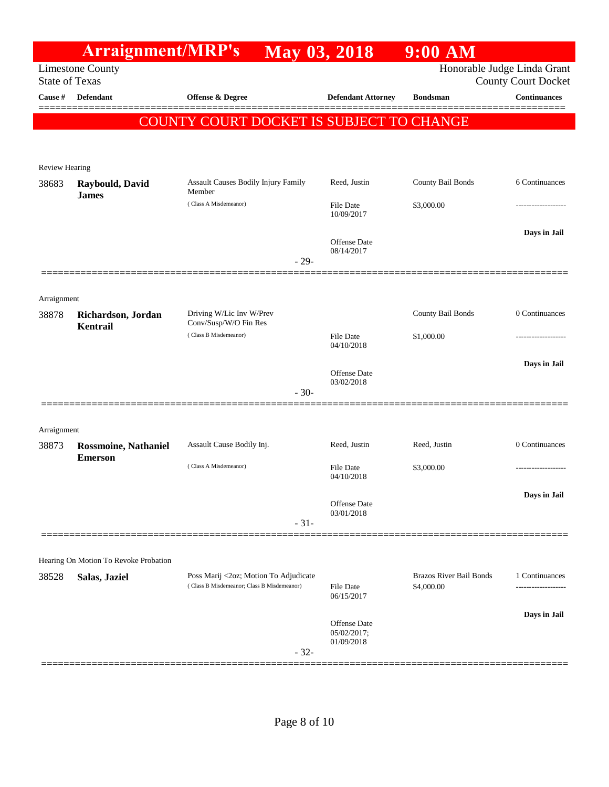|                       | <b>Arraignment/MRP's</b>                      |                                                      | <b>May 03, 2018</b>         | $9:00$ AM                      |                                                           |
|-----------------------|-----------------------------------------------|------------------------------------------------------|-----------------------------|--------------------------------|-----------------------------------------------------------|
| <b>State of Texas</b> | <b>Limestone County</b>                       |                                                      |                             |                                | Honorable Judge Linda Grant<br><b>County Court Docket</b> |
| Cause #               | <b>Defendant</b>                              | <b>Offense &amp; Degree</b>                          | <b>Defendant Attorney</b>   | <b>Bondsman</b>                | <b>Continuances</b>                                       |
|                       |                                               |                                                      |                             |                                |                                                           |
|                       |                                               | COUNTY COURT DOCKET IS SUBJECT TO CHANGE             |                             |                                |                                                           |
|                       |                                               |                                                      |                             |                                |                                                           |
| <b>Review Hearing</b> |                                               |                                                      |                             |                                |                                                           |
| 38683                 | Raybould, David<br><b>James</b>               | <b>Assault Causes Bodily Injury Family</b><br>Member | Reed, Justin                | County Bail Bonds              | 6 Continuances                                            |
|                       |                                               | (Class A Misdemeanor)                                | File Date<br>10/09/2017     | \$3,000.00                     |                                                           |
|                       |                                               |                                                      |                             |                                | Days in Jail                                              |
|                       |                                               |                                                      | Offense Date<br>08/14/2017  |                                |                                                           |
|                       |                                               | $-29-$                                               |                             |                                |                                                           |
|                       |                                               |                                                      |                             |                                |                                                           |
| Arraignment           |                                               |                                                      |                             |                                |                                                           |
| 38878                 | Richardson, Jordan<br>Kentrail                | Driving W/Lic Inv W/Prev<br>Conv/Susp/W/O Fin Res    |                             | <b>County Bail Bonds</b>       | 0 Continuances                                            |
|                       |                                               | (Class B Misdemeanor)                                | File Date<br>04/10/2018     | \$1,000.00                     |                                                           |
|                       |                                               |                                                      |                             |                                | Days in Jail                                              |
|                       |                                               |                                                      | Offense Date<br>03/02/2018  |                                |                                                           |
|                       |                                               | $-30-$                                               |                             |                                |                                                           |
|                       |                                               |                                                      |                             |                                |                                                           |
| Arraignment<br>38873  |                                               | Assault Cause Bodily Inj.                            | Reed, Justin                | Reed, Justin                   | 0 Continuances                                            |
|                       | <b>Rossmoine, Nathaniel</b><br><b>Emerson</b> |                                                      |                             |                                |                                                           |
|                       |                                               | (Class A Misdemeanor)                                | File Date<br>04/10/2018     | \$3,000.00                     |                                                           |
|                       |                                               |                                                      |                             |                                | Days in Jail                                              |
|                       |                                               |                                                      | Offense Date<br>03/01/2018  |                                |                                                           |
|                       |                                               | $-31-$                                               |                             |                                |                                                           |
|                       | Hearing On Motion To Revoke Probation         |                                                      |                             |                                |                                                           |
| 38528                 | Salas, Jaziel                                 | Poss Marij <2oz; Motion To Adjudicate                |                             | <b>Brazos River Bail Bonds</b> | 1 Continuances                                            |
|                       |                                               | (Class B Misdemeanor; Class B Misdemeanor)           | File Date<br>06/15/2017     | \$4,000.00                     |                                                           |
|                       |                                               |                                                      |                             |                                | Days in Jail                                              |
|                       |                                               |                                                      | Offense Date<br>05/02/2017; |                                |                                                           |
|                       |                                               | $-32-$                                               | 01/09/2018                  |                                |                                                           |
|                       |                                               |                                                      |                             |                                |                                                           |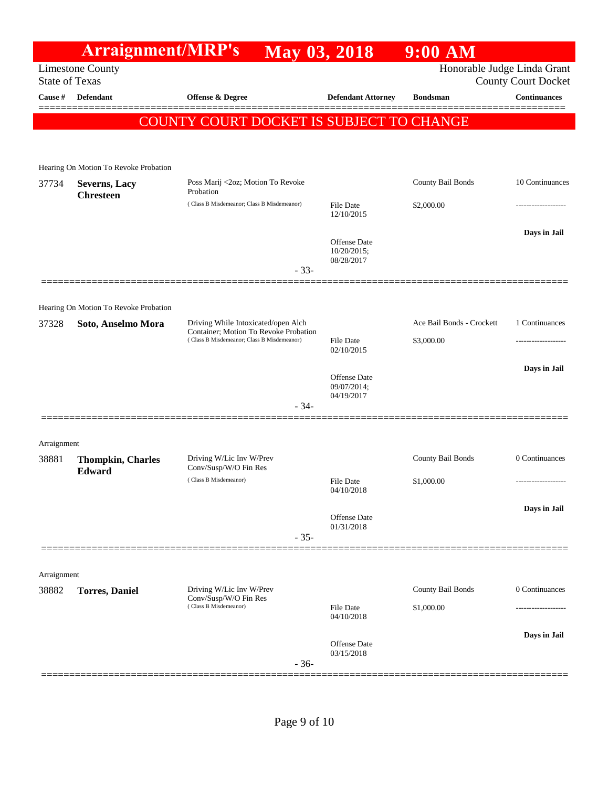|             | <b>Arraignment/MRP's</b>                         |                                                                                                                            | May 03, 2018                       | $9:00$ AM                   |                            |
|-------------|--------------------------------------------------|----------------------------------------------------------------------------------------------------------------------------|------------------------------------|-----------------------------|----------------------------|
|             | <b>Limestone County</b><br><b>State of Texas</b> |                                                                                                                            |                                    | Honorable Judge Linda Grant | <b>County Court Docket</b> |
| Cause #     | Defendant                                        | Offense & Degree                                                                                                           | <b>Defendant Attorney</b>          | <b>Bondsman</b>             | <b>Continuances</b>        |
|             |                                                  |                                                                                                                            |                                    |                             |                            |
|             |                                                  | COUNTY COURT DOCKET IS SUBJECT TO CHANGE                                                                                   |                                    |                             |                            |
|             |                                                  |                                                                                                                            |                                    |                             |                            |
|             | Hearing On Motion To Revoke Probation            |                                                                                                                            |                                    |                             |                            |
| 37734       | Severns, Lacy<br><b>Chresteen</b>                | Poss Marij <2oz; Motion To Revoke<br>Probation                                                                             |                                    | County Bail Bonds           | 10 Continuances            |
|             |                                                  | (Class B Misdemeanor; Class B Misdemeanor)                                                                                 | File Date<br>12/10/2015            | \$2,000.00                  | --------------             |
|             |                                                  |                                                                                                                            |                                    |                             | Days in Jail               |
|             |                                                  |                                                                                                                            | Offense Date<br>10/20/2015;        |                             |                            |
|             |                                                  | $-33-$                                                                                                                     | 08/28/2017                         |                             |                            |
|             |                                                  |                                                                                                                            |                                    |                             |                            |
|             | Hearing On Motion To Revoke Probation            |                                                                                                                            |                                    |                             |                            |
| 37328       | Soto, Anselmo Mora                               | Driving While Intoxicated/open Alch<br>Container; Motion To Revoke Probation<br>(Class B Misdemeanor; Class B Misdemeanor) |                                    | Ace Bail Bonds - Crockett   | 1 Continuances             |
|             |                                                  |                                                                                                                            | File Date<br>02/10/2015            | \$3,000.00                  |                            |
|             |                                                  |                                                                                                                            |                                    |                             | Days in Jail               |
|             |                                                  |                                                                                                                            | <b>Offense Date</b><br>09/07/2014; |                             |                            |
|             |                                                  | $-34-$                                                                                                                     | 04/19/2017                         |                             |                            |
|             |                                                  |                                                                                                                            |                                    |                             |                            |
| Arraignment |                                                  |                                                                                                                            |                                    |                             |                            |
| 38881       | <b>Thompkin, Charles</b>                         | Driving W/Lic Inv W/Prev<br>Conv/Susp/W/O Fin Res                                                                          |                                    | County Bail Bonds           | 0 Continuances             |
|             | Edward                                           | (Class B Misdemeanor)                                                                                                      | File Date                          | \$1,000.00                  | -------------------        |
|             |                                                  |                                                                                                                            | 04/10/2018                         |                             |                            |
|             |                                                  |                                                                                                                            | Offense Date<br>01/31/2018         |                             | Days in Jail               |
|             |                                                  | $-35-$                                                                                                                     |                                    |                             |                            |
|             |                                                  |                                                                                                                            |                                    |                             |                            |
| Arraignment |                                                  |                                                                                                                            |                                    |                             |                            |
| 38882       | <b>Torres</b> , Daniel                           | Driving W/Lic Inv W/Prev<br>Conv/Susp/W/O Fin Res                                                                          |                                    | County Bail Bonds           | 0 Continuances             |
|             |                                                  | (Class B Misdemeanor)                                                                                                      | File Date<br>04/10/2018            | \$1,000.00                  |                            |
|             |                                                  |                                                                                                                            |                                    |                             | Days in Jail               |
|             |                                                  |                                                                                                                            | Offense Date<br>03/15/2018         |                             |                            |
|             |                                                  | $-36-$                                                                                                                     |                                    |                             |                            |